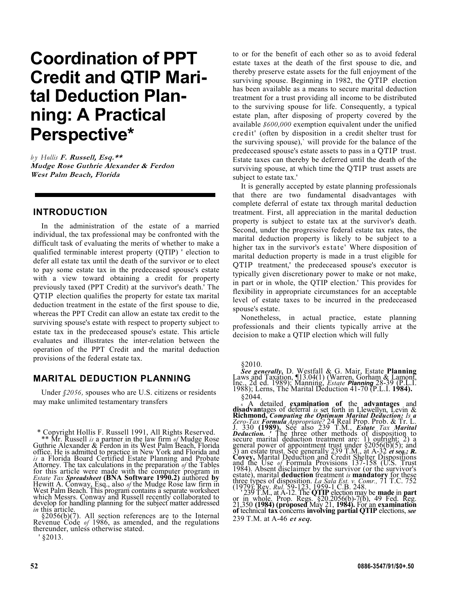# **Coordination of PPT Credit and QTIP Marital Deduction Planning: A Practical Perspective\***

*b y Hollis* **F. Russell, Esq.\*\* Mudge Rose Guthrie Alexander & Ferdon West Palm Beach, Florida** 

#### **INTRODUCTION**

In the administration of the estate of a married individual, the tax professional may be confronted with the difficult task of evaluating the merits of whether to make a qualified terminable interest property (QTIP) ' election to defer all estate tax until the death of the survivor or to elect to pay some estate tax in the predeceased spouse's estate with a view toward obtaining a credit for property previously taxed (PPT Credit) at the survivor's death.' The QTIP election qualifies the property for estate tax marital deduction treatment in the estate of the first spouse to die, whereas the PPT Credit can allow an estate tax credit to the surviving spouse's estate with respect to property subject to estate tax in the predeceased spouse's estate. This article evaluates and illustrates the inter-relation between the operation of the PPT Credit and the marital deduction provisions of the federal estate tax.

#### **MARITAL DEDUCTION PLANNING**

Under *§2056*, spouses who are U.S. citizens or residents may make unlimited testamentary transfers

\* Copyright Hollis F. Russell 1991, All Rights Reserved. \*\* Mr. Russell *is* a partner in the law firm *of* Mudge Rose Guthrie Alexander & Ferdon in its West Palm Beach, Florida office. He is admitted to practice in New York and Florida and *is* a Florida Board Certified Estate Planning and Probate Attorney. The tax calculations in the preparation *of* the Tables Attorney. The tax calculations in the preparation of the Tables<br>for this article were made with the computer program in<br>*Estate Tax Spreadsheet* (BNA Software 1990.2) authored by *Estate Tax Spreadsheet (BNA Software 1990.2) authored by Hewitt A. Conway, Esq., also <i>of* the Mudge Rose law firm in West Palm Beach. This program contains a separate worksheet which Messrs. Conway and Russell recently collaborated to develop for handling planning for the subject matter addressed *in* this article.

§2056(b)(7). All section references are to the Internal Revenue Code *of* 1986, as amended, and the regulations thereunder, unless otherwise stated.

' §2013.

to or for the benefit of each other so as to avoid federal estate taxes at the death of the first spouse to die, and thereby preserve estate assets for the full enjoyment of the surviving spouse. Beginning in 1982, the QTIP election has been available as a means to secure marital deduction treatment for a trust providing all income to be distributed to the surviving spouse for life. Consequently, a typical estate plan, after disposing of property covered by the available *\$600,000* exemption equivalent under the unified credit' (often by disposition in a credit shelter trust for the surviving spouse),` will provide for the balance of the predeceased spouse's estate assets to pass in a QTIP trust. Estate taxes can thereby be deferred until the death of the surviving spouse, at which time the QTIP trust assets are subject to estate tax.'

It is generally accepted by estate planning professionals that there are two fundamental disadvantages with complete deferral of estate tax through marital deduction treatment. First, all appreciation in the marital deduction property is subject to estate tax at the survivor's death. Second, under the progressive federal estate tax rates, the marital deduction property is likely to be subject to a higher tax in the survivor's estate' Where disposition of marital deduction property is made in a trust eligible for QTIP treatment,' the predeceased spouse's executor is typically given discretionary power to make or not make, in part or in whole, the QTIP election.' This provides for flexibility in appropriate circumstances for an acceptable level of estate taxes to be incurred in the predeceased spouse's estate.

Nonetheless, in actual practice, estate planning professionals and their clients typically arrive at the decision to make a QTIP election which will fully

§2010.

*See generally,* D. Westfall & G. Mair, Estate **Planning** Laws and Taxation, ¶13.04(1) (Warren, Gorham & Lamont, Inc., 2d ed. 1989); Manning, *Estate Planning* 28-39 (P.L.I. 1988); Lerns, The Marital Deduction 41-70 (P.L.I. **1984).**   $§2044.$ 

A detailed **examination of** the **advantages** and **disadvantages** of deferral *is* set forth in Llewellyn, Levin & Richmond, Computing the Optimum Marital Deduction: Is a Zero-Tax Formula Appropriate? 24 Real Prop. Prob. & **Deduction.** The three other methods of disposition to secure marital deduction treatment are: 1) outright; 2) a general power of appointment trust under  $\S2056(b)(5)$ ; and 3) an estate trust. See generally 239 T.M., at A-3

estate), marital **deduction** treatment *is* **mandatory** for these<br>three types of disposition. *La Sala Est. v. Comr.*, 71 T.C. 752<br>(1979): Rev. *Rul.* 59-123, 1959-1 C.B. 248.<br>239 T.M., at A-12. The QTIP election may be 239 T.M. at A-46 **et seq.**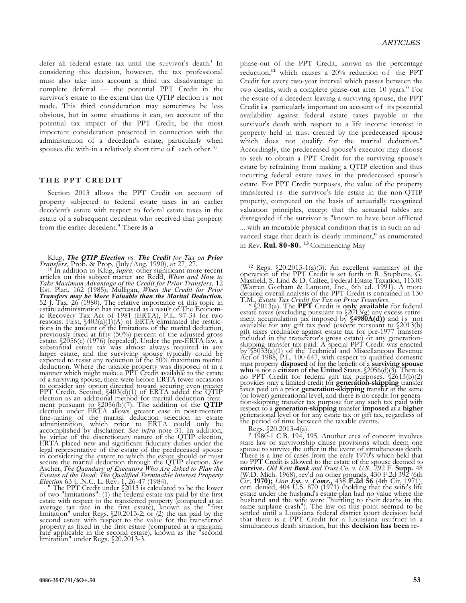defer all federal estate tax until the survivor's death.' In considering this decision, however, the tax professional must also take into account a third tax disadvantage in complete deferral — the potential PPT Credit in the survivor's estate to the extent that the QTIP election is not made. This third consideration may sometimes be less obvious, but in some situations it can, on account of the potential tax impact of the PPT Credit, be the most important consideration presented in connection with the administration of a decedent's estate, particularly when spouses die with-in a relatively short time of each other.<sup>10</sup>

#### **THE PPT CREDIT**

Section 2013 allows the PPT Credit on account of property subjected to federal estate taxes in an earlier decedent's estate with respect to federal estate taxes in the estate of a subsequent decedent who received that property from the earlier decedent." There **is a** 

Klug, *The QTIP Election vs. The Credit for Tax on Prior* 

*Transfers, Prob. & Prop. (July/Aug. 1990), at 27, 27.*<br><sup>10</sup> In addition to Klug, *supra,* other significant more recent articles on this subject matter are Redd, *When and How to Take Maximum Advantage of the Credit for Prior Transfers,* 12 Est. Plan. 162 (1985); Mulligan, *When the Credit for Prior Transfers may be More Valuable than the Marital Deduction.*  52 J. Tax. 26 (1980). The relative importance of this topic in estate administration has increased as a result of The Economic Recovery Tax Act of 1981 (ERTA), P.L. 97-34 for two reasons. First, §403(a)(1)(A) of ERTA eliminated the restrictions in the amount of the limitations of the marital deduction, previously fixed at fifty (50%) percent of the adjusted gross estate. §2056(c) (1976) (repealed). Under the pre-ERTA law, a substantial estate tax was almost always required in any larger estate, and the surviving spouse typically could be expected to resist any reduction of the 50% maximum marital deduction. Where the taxable property was disposed of in a manner which might make a PPT Credit available to the estate of a surviving spouse, there were before ERTA fewer occasions to consider any option directed toward securing even greater PPT Credit. Second, §403(d)(1) of ERTA added the QTIP election as an additional method for marital deduction treatment pursuant to §2056(b)(7). The addition of the **QTIP**  election under ERTA allows greater ease in post-mortem fine-tuning of the marital deduction selection in estate administration, which prior to ERTA could only be accomplished by disclaimer. *See infra* note 31. In addition, by virtue of the discretionary nature of the QTIP election, ERTA placed new and significant fiduciary duties under the legal representative of the estate of the predeceased spouse in considering the extent to which the estate should or must secure the marital deduction through the QTIP election. *See*  Ascher, *The Quandary of Executors Who Are Asked to Plan the Estates of the Dead: The Qualified Terminable Interest Property* 

*Election* 63 U.N.C. L. Rev. 1, 26-47 (1984). " The PPT Credit under §2013 is calculated to be the lower of two "limitations": (1) the federal estate tax paid by the first estate with respect to the transferred property (computed at an average tax rate in the first estate), known as the "first limitation" under Regs. §20.2013-2; or (2) the tax paid by the second estate with respect to the value for the transferred property as fixed in the first estate (computed at a marginal rate applicable in the second estate), known as the "second limitation" under Regs. §20.2013-3.

phase-out of the PPT Credit, known as the percentage reduction,<sup>12</sup> which causes a 20% reduction of the PPT Credit for every two-year interval which passes between the two deaths, with a complete phase-out after 10 years." For the estate of a decedent leaving a surviving spouse, the PPT Credit **is** particularly important on account of its potential availability against federal estate taxes payable at the survivor's death with respect to a life income interest in property held in trust created by the predeceased spouse which does not qualify for the marital deduction." Accordingly, the predeceased spouse's executor may choose to seek to obtain a PPT Credit for the surviving spouse's estate by refraining from making a QTIP election and thus incurring federal estate taxes in the predeceased spouse's estate. For PPT Credit purposes, the value of the property transferred is the survivor's life estate in the non-QTIP property, computed on the basis of actuarially recognized valuation principles, except that the actuarial tables are disregarded if the survivor is "known to have been afflicted ... with an incurable physical condition that is in such an advanced stage that death is clearly imminent," as enumerated in Rev. **Rul. 80-80. 13** Commencing May

<sup>12</sup> Regs.  $$20.2013-1(a)(3)$ . An excellent summary of the operation of the PPT Credit is set forth in R. Stephens, G. Maxfield, S. Lind & D. Calfee, Federal Estate Taxation, 113.05 (Warren Gorham & Lamont, Inc., 6th ed. 1991). A more detailed overall analysis of the PPT Credit is contained in 130 T.M., *Estate Tax Credit for Tax on Prior Transfers.* 

*"* §2013(a). The **PPT** Credit is **only available** for federal estate taxes (excluding pursuant to §2013(g) any excess retirement accumulation tax imposed by \$4980A(d)) and is not available for any gift tax paid (except pursuant to §2013(b) gift taxes creditable against estate tax for pre-1977 transfers included in the transferor's gross estate) or any generationskipping transfer tax paid. A special PPT Credit was enacted by §5033(a)(1) of the Technical and Miscellaneous Revenue Act of 1988, P.L. 100-647, with respect to qualified domestic trust property **disposed** of for the benefit of a **surviving spouse who** is not a **citizen** of **the United** States. §2056(d)(3). There is no PPT Credit for federal gift tax purposes. §2613(b)(2) provides only a limited credit for **generation-skipping** transfer taxes paid on a prior **generation-skipping** transfer at the same (or lower) generational level, and there is no credit for generation-skipping transfer tax purpose for any such tax paid with respect to a **generation-skipping** transfer **imposed** at a **higher** generational level or for any estate tax or gift tax, regardless of the period of time between the taxable events.

Regs. §20.2013-4(a).

J ' 1980-1 C.B. 194, 195. Another area of concern involves state law or survivorship clause provisions which deem one spouse to survive the other in the event of simultaneous death. There is a line of cases from the early 1970's which held that no PPT Credit is allowed to the estate of the spouse deemed to **survive.** *Old Kent Bank and Trust Co. v. U.S.,* 292 F. **Supp.** 48 (W.D. Mich. 1968), rev'd on other grounds, 430 F.2d 392 (6th Cir. **1970);** *Lion Est. v. Comr.,* 438 **F.2d 56** (4th Cir. 1971), cert. denied, 404 U.S. 870 (1971) (holding that the wife's life estate under the husband's estate plan had no value where the husband and the wife were "hurtling to their deaths in the same airplane crash"). The law on this point seemed to be settled until a Louisiana federal district court decision held that there is a PPT Credit for a Louisiana usufruct in a simultaneous death situation, but this **decision has been** re-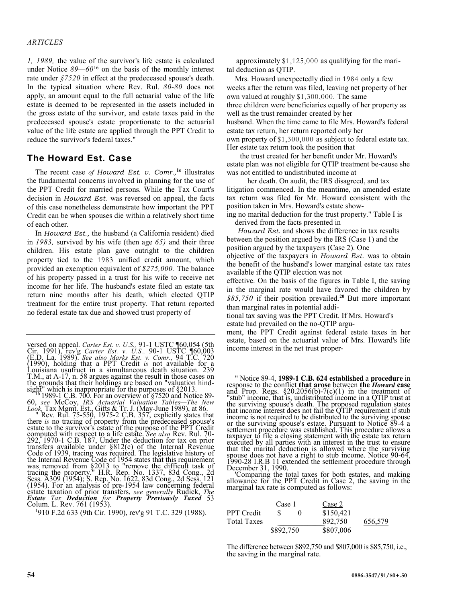*1, 1989,* the value of the survivor's life estate is calculated under Notice *89—60*<sup>16</sup> on the basis of the monthly interest rate under *§7520* in effect at the predeceased spouse's death. In the typical situation where Rev. Rul. *80-80* does not apply, an amount equal to the full actuarial value of the life estate is deemed to be represented in the assets included in the gross estate of the survivor, and estate taxes paid in the predeceased spouse's estate proportionate to the actuarial value of the life estate are applied through the PPT Credit to reduce the survivor's federal taxes."

#### **The Howard Est. Case**

The recent case *of Howard Est. v. Comr.,***1e** illustrates the fundamental concerns involved in planning for the use of the PPT Credit for married persons. While the Tax Court's decision in *Howard Est.* was reversed on appeal, the facts of this case nonetheless demonstrate how important the PPT Credit can be when spouses die within a relatively short time of each other.

In *Howard Est.,* the husband (a California resident) died in *1983,* survived by his wife (then age *65)* and their three children. His estate plan gave outright to the children property tied to the 1983 unified credit amount, which provided an exemption equivalent of *\$275,000.* The balance of his property passed in a trust for his wife to receive net income for her life. The husband's estate filed an estate tax return nine months after his death, which elected QTIP treatment for the entire trust property. That return reported no federal estate tax due and showed trust property of

Look, Tax Mgmt. Est., Gifts & Tr. J. (May-June 1989), at 86.<br>" Rev. Rul. 75-550, 1975-2 C.B. 357, explicitly states that<br>there is no tracing of property from the predeceased spouse's<br>estate to the survivor's estate of the computed with respect to a life estate. *See also* Rev. Rul. 70- 292, 1970-1 C.B. 187, Under the deduction for tax on prior transfers available under §812(c) of the Internal Revenue Code of 1939, tracing was required. The legislative history of the Internal Revenue Code of 1954 states that this requirement was removed from §2013 to "remove the difficult task of tracing the property." H.R. Rep. No. 1337, 83d Cong., 2d Sess. A309 (1954); S. Rep. No. 1622, 83d Cong., 2d Sess. 121 (1954). For an analysis of pre-1954 law concerning federal estate taxation of prior transfers, *see generally* Rudick, *The Estate Tax Deduction for Property Previously Taxed* 53 Colum. L. Rev. 761 (1953).<br><sup>1</sup>910 E 2d 633 (9th Cir. 19

910 F.2d 633 (9th Cir. 1990), rev'g 91 T.C. 329 (1988).

approximately \$1,125,000 as qualifying for the marital deduction as QTIP.

Mrs. Howard unexpectedly died in 1984 only a few weeks after the return was filed, leaving net property of her own valued at roughly \$1,300,000. The same three children were beneficiaries equally of her property as well as the trust remainder created by her husband. When the time came to file Mrs. Howard's federal estate tax return, her return reported only her own property of \$1,300,000 as subject to federal estate tax. Her estate tax return took the position that

the trust created for her benefit under Mr. Howard's estate plan was not eligible for QTIP treatment be-cause she was not entitled to undistributed income at

her death. On audit, the IRS disagreed, and tax litigation commenced. In the meantime, an amended estate tax return was filed for Mr. Howard consistent with the position taken in Mrs. Howard's estate show-

ing no marital deduction for the trust property." Table I is derived from the facts presented in

*Howard Est.* and shows the difference in tax results between the position argued by the IRS (Case 1) and the position argued by the taxpayers (Case 2). One

objective of the taxpayers in *Howard Est.* was to obtain the benefit of the husband's lower marginal estate tax rates available if the QTIP election was not

effective. On the basis of the figures in Table I, the saving in the marginal rate would have favored the children by *\$85,750* if their position prevailed.**<sup>20</sup>** But more important than marginal rates in potential addi-

tional tax saving was the PPT Credit. If Mrs. Howard's estate had prevailed on the no-QTIP argu-

ment, the PPT Credit against federal estate taxes in her estate, based on the actuarial value of Mrs. Howard's life income interest in the net trust proper-

" Notice 89-4, **1989-1 C.B. 624 established** a **procedure** in response to the conflict **that arose** between **the** *Howard* **case**  and Prop. Regs.  $\S 20.2056(b) - 7(c)(1)$  in the treatment of "stub" income, that is, undistributed income in a QTIP trust at the surviving spouse's death. The proposed regulation states that income interest does not fail the QTIP requirement if stub income is not required to be distributed to the surviving spouse or the surviving spouse's estate. Pursuant to Notice 89-4 a settlement procedure was established. This procedure allows a taxpayer to file a closing statement with the estate tax return executed by all parties with an interest in the trust to ensure that the marital deduction is allowed where the surviving spouse does not have a right to stub income. Notice 90-64, 1990-28 I.R.B 11 extended the settlement procedure through

December 31, 1990. 'Comparing the total taxes for both estates, and making allowance for the PPT Credit in Case 2, the saving in the marginal tax rate is computed as follows:

|                    | Case 1    |  | Case 2    |         |
|--------------------|-----------|--|-----------|---------|
| <b>PPT</b> Credit  |           |  | \$150,421 |         |
| <b>Total Taxes</b> |           |  | 892.750   | 656,579 |
|                    | \$892,750 |  | \$807,006 |         |

The difference between \$892,750 and \$807,000 is \$85,750, i.e., the saving in the marginal rate.

versed on appeal. *Carter Est. v. U.S.,* 91-1 USTC ¶60,054 (5th Cir. 1991), rev'g *Carter Est. v. U.S.,* 90-1 USTC ¶60,003 (E.D. La. 1989). *See also Marks Est. v. Comr.,* 94 T.C. 720 (1990), holding that a PPT Credit *is* not available for a Louisiana usufruct in a simultaneous death situation. 239 T.M., at A-17, n. 58 argues against the result in those cases on the grounds that their holdings are based on "valuation hindsight" which is inappropriate for the purposes of §2013.<br><sup>16</sup> 1989-1 C.B. 700. For an overview of §7520 and Notice 89-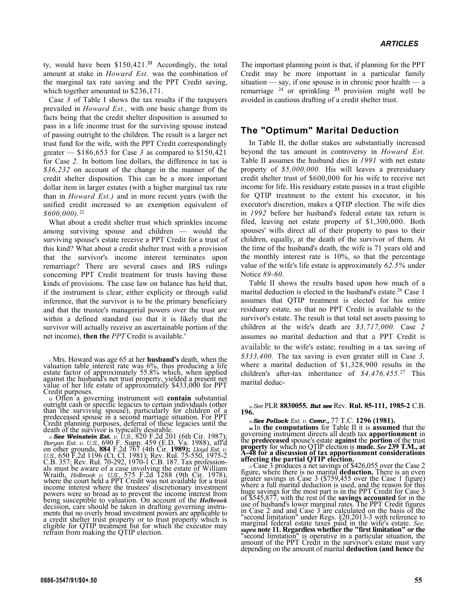ty, would have been \$150,421.**<sup>21</sup>** Accordingly, the total amount at stake in *Howard Est.* was the combination of the marginal tax rate saving and the PPT Credit saving, which together amounted to \$236,171.

Case *3* of Table I shows the tax results if the taxpayers prevailed in *Howard Est.,* with one basic change from its facts being that the credit shelter disposition is assumed to pass in a life income trust for the surviving spouse instead of passing outright to the children. The result is a larger net trust fund for the wife, with the PPT Credit correspondingly greater — \$186,653 for Case *3* as compared to \$150,421 for Case *2.* In bottom line dollars, the difference in tax is *\$36,232* on account of the change in the manner of the credit shelter disposition. This can be a more important dollar item in larger estates (with a higher marginal tax rate than in *Howard Est.)* and in more recent years (with the unified credit increased to an exemption equivalent of *\$600,000).*<sup>22</sup>

What about a credit shelter trust which sprinkles income among surviving spouse and children — would the surviving spouse's estate receive a PPT Credit for a trust of this kind? What about a credit shelter trust with a provision that the survivor's income interest terminates upon remarriage? There are several cases and IRS rulings concerning PPT Credit treatment for trusts having those kinds of provisions. The case law on balance has held that, if the instrument is clear, either explicity or through valid inference, that the survivor is to be the primary beneficiary and that the trustee's managerial powers over the trust are within a defined standard (so that it is likely that the survivor will actually receive an ascertainable portion of the net income), **then the** *PPT* Credit is available.'

<sup>u</sup>Often a governing instrument will **contain** substantial outright cash or specific legacies to certain individuals (other than the surviving spouse), particularly for children of a predeceased spouse in a second marriage situation. For PPT Credit planning purposes, deferral of these legacies until the death of the survivor is typically desirable.

<sup>22</sup>*See Weinstein Est. v. U.S.,* 820 F.2d 201 (6th Cir. 1987); *Boryan Est. v. U.S.,* 690 F. Supp. 459 (E.D. Va. 1988), aff'd on other grounds, **884** F.2d 767 (4th Cir. **1989);** *Lloyd Est. v. U.S.,* 650 F.2d 1196 (Ct. Cl. 1981); Rev. Rul. 75-550, 1975-2 C.B. 357; Rev. Rul. 70-292, 1970-1 C.B. 187. Tax professionals must be aware of a case involving the estate of William Wraith, *Holbrook v. U.S.,* 575 F.2d 1288 (9th Cir. 1978), where the court held a PPT Credit was not available for a trust income interest where the trustees' discretionary investment powers were so broad as to prevent the income interest from being susceptible to valuation. On account of the *Holbrook*  decision, care should be taken in drafting governing instruments that no overly broad investment powers are applicable to a credit shelter trust property or to trust property which is eligible for QTIP treatment but for which the executor may refrain from making the QTIP election.

The important planning point is that, if planning for the PPT Credit may be more important in a particular family situation — say, if one spouse is in chronic poor health — a remarriage <sup>24</sup> or sprinkling <sup>23</sup> provision might well be avoided in cautious drafting of a credit shelter trust.

### **The "Optimum" Marital Deduction**

In Table II, the dollar stakes are substantially increased beyond the tax amount in controversy in *Howard Est.*  Table II assumes the husband dies in *1991* with net estate property of *\$5,000,000.* His will leaves a preresiduary credit shelter trust of \$600,000 for his wife to receive net income for life. His residuary estate passes in a trust eligible for QTIP treatment to the extent his executor, in his executor's discretion, makes a QTIP election. The wife dies in *1992* before her husband's federal estate tax return is filed, leaving net estate property of \$1,300,000. Both spouses' wills direct all of their property to pass to their children, equally, at the death of the survivor of them. At the time of the husband's death, the wife is 71 years old and the monthly interest rate is 10%, so that the percentage value of the wife's life estate is approximately *62.5%* under Notice *89-60.* 

Table II shows the results based upon how much of a marital deduction is elected in the husband's estate.<sup>26</sup> Case 1 assumes that QTIP treatment is elected for his entire residuary estate, so that no PPT Credit is available to the survivor's estate. The result is that total net assets passing to children at the wife's death are *\$3,717,000.* Case *2*  assumes no marital deduction and that a PPT Credit is available to the wife's estate; resulting in a tax saving of *\$333,400.* The tax saving is even greater still in Case *3,*  where a marital deduction of \$1,328,900 results in the children's after-tax inheritance of *\$4,476,455.*<sup>27</sup> This marital deduc-

<sup>24</sup>*See* PLR **8830055.** *But see* Rev. **Rul. 85-111, 1985-2** C.B. **196.** 

23 *See Pollock Est. v. Comr.,* 77 T.C. **1296 (1981).** 

**<sup>26</sup>**In **the computations** for Table II it is **assumed** that the governing instrument directs all death tax **apportionment** in the **predeceased** spouse's estate **against** the **portion** of the trust **property** for which no QTIP election is **made.** *See* **239 T.M., at A-48 for a discussion of tax apportionment considerations A-48 for a discussion of tax apportionment considerations affecting the partial QTIP election.**<br> **a** <sup>27</sup>Case 3 produces a net savings of \$426,055 over the Case 2

<sup>27</sup>Case 3 produces a net savings of \$426,055 over the Case 2 figure, where there is no marital **deduction.** There is an even greater savings in Case 3 (\$759,455 over the Case 1 figure) where a full marital deduction is used, and the reason for this huge savings for the most part is in the PPT Credit for Case 3 of \$545,877, with the rest of the **savings accounted** for in the use of husband's lower marginal rates. The PPT Credit figures in Case 2 and and Case 3 are calculated on the basis of the "second limitation" under Regs. §20.2013-3 with reference to marginal federal estate taxes paid in the wife's estate. *See, supra* **note 11. Regardless whether the "first limitation" or the** "second limitation" is operative in a particular situation, the amount of the PPT Credit in the survivor's estate must vary depending on the amount of marital **deduction (and hence** the

<sup>2&#</sup>x27; Mrs. Howard was age 65 at her **husband's** death, when the valuation table interest rate was 6%, thus producing a life estate factor of approximately 55.8% which, when applied against the husband's net trust property, yielded a present net value of her life estate of approximately \$433,000 for PPT Credit purposes.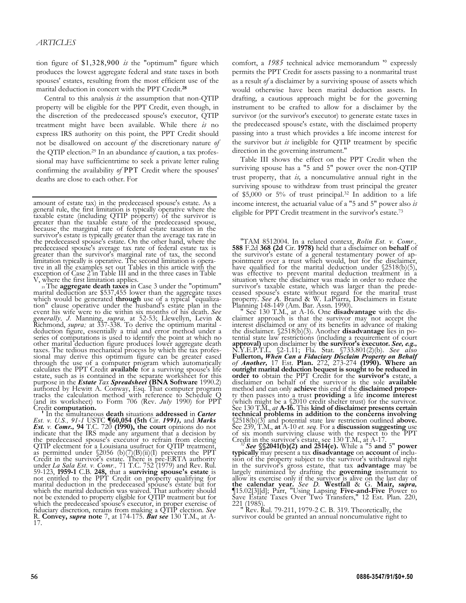tion figure of \$1,328,900 *is* the "optimum" figure which produces the lowest aggregate federal and state taxes in both spouses' estates, resulting from the most efficient use of the marital deduction in concert with the PPT Credit.**<sup>28</sup>**

Central to this analysis *is* the assumption that non-QTIP property will be eligible for the PPT Credit, even though, in the discretion of the predeceased spouse's executor, QTIP treatment might have been available. While there *is* no express IRS authority on this point, the PPT Credit should not be disallowed on account *of* the discretionary nature *of*  the QTIP election.29 In an abundance *of* caution, a tax professional may have sufficientrtime to seek a private letter ruling confirming the availability *of* PPT Credit where the spouses' deaths are close to each other. For

amount of estate tax) in the predeceased spouse's estate. As a general rule, the first limitation is typically operative where the taxable estate (including QTIP property) of the survivor is greater than the taxable estate of the predeceased spouse, because the marginal rate of federal estate taxation in the survivor's estate is typically greater than the average tax rate in the predeceased spouse's estate. On the other hand, where the predeceased spouse's average tax rate of federal estate tax is greater than the survivor's marginal rate of tax, the second limitation typically is operative. The second limitation is operative in all the examples set out Tables in this article with the exception of Case 2 in Table III and in the three cases in Table V, where the first limitation applies.

<sup>21</sup>The **aggregate death taxes** in Case 3 under the "optimum" marital deduction are \$537,455 lower than the aggregate taxes which would be generated **through** use of a typical "equaliza- tion" clause operative under the husband's estate plan in the event his wife were to die within six months of his death. *See generally, J.* Manning, *supra,* at 52-53; Llewellyn, Levin & Richmond, *supra;* at 337-338. To derive the optimum marital - deduction figure, essentially a trial and error method under a series of computations is used to identify the point at which no other marital deduction figure produces lower aggregate death taxes. The tedious mechanical process by which the tax professional may derive this optimum figure can be greater eased through the use of a computer program which automatically calculates the PPT Credit **available** for a surviving spouse's life calculates the PPT Credit **available** for a surviving spouse's life estate, such as is contained in the separate worksheet for this purpose in the *Estate Tax Spreadsheet* **(BNA Software** 1990.2) authored by Hewitt A. Conway, Esq. That computer program tracks the calculation method with reference to Schedule Q (and its worksheet) to Form 706 (Rev. July 1990) for PPT (and its worksheet) to Form 706 (Rev. *July* 1990) for PPT Credit **computation. '** In the simultaneous **death** situations **addressed** in *Carter* 

*Est. v. U.S., 91-1* USTC **¶60,054 (5th** Cir. *1991),* and *Marks Est. v. Comr.,* **94** T.C. 720 **(1990), the court** opinions do not indicate that the IRS made any argument that a decision by the predeceased spouse's executor to refrain from electing QTIP electment for a Louisiana usufruct for QTIP treatment, as permitted under  $\S2056$  (b)(7)(B)(ii)(I) prevents the PPT Credit in the survivor's estate. There is pre-ERTA authority under *La Sala Est. v. Comr.,* 71 T.C. 752 (1979) and Rev. Rul. 59-123, **1959-1** C.B. **248,** that a **surviving spouse's estate** is not entitled to the PPT Credit on property qualifying for marital deduction in the predeceased spouse's estate but for which the marital deduction was waived. That authority should not be extended to property eligible for QTIP treatment but for which the predeceased spouse's executor, in proper exercise of fiduciary discretion, rerains from making a QTIP election. *See*  R. **Convey,** *supra* **note** 7, at 174-175. *But see* 130 T.M., at A-17.

comfort, a *1985* technical advice memorandum '° expressly permits the PPT Credit for assets passing to a nonmarital trust as a result *of* a disclaimer by a surviving spouse of assets which would otherwise have been marital deduction assets. In drafting, a cautious approach might be for the governing instrument to be crafted to allow for a disclaimer by the survivor (or the survivor's executor) to generate estate taxes in the predeceased spouse's estate, with the disclaimed property passing into a trust which provides a life income interest for the survivor but *is* ineligible for QTIP treatment by specific direction in the governing instrument."

Table III shows the effect on the PPT Credit when the surviving spouse has a "5 and 5" power over the non-QTIP trust property, that *is,* a noncumulative annual right in the surviving spouse to withdraw from trust principal the greater of \$5,000 or 5% of trust principal.32 In addition to a life income interest, the actuarial value of a "5 and 5" power also *is*  eligible for PPT Credit treatment in the survivor's estate.73

"TAM 8512004. In a related context, *Rolin Est. v. Comr.,*  **588** F.2d **368 (2d** Cir. **1978)** held that a disclaimer on **behalf** of the survivor's estate of a general testamentary power of appointment over a trust which would, but for the disclaimer, have qualified for the marital deduction under §2518(b)(5), was effective to prevent marital deduction treatment in a situation where the disclaimer was made in order to reduce the survivor's taxable estate, which was larger than the predeceased spouse's estate without regard for the marital trust property. *See A.* Brand & W. LaPiarra, Disclaimers in Estate

Planning 148-149 (Am. Bar. Assn. 1990). " See 130 T.M., at A-16. One **disadvantage** with the disclaimer approach is that the survivor may not accept the interest disclaimed or any of its benefits in advance of making the disclaimer. §2518(b)(3). Another **disadvantage** lies in po- tential state law restrictions (including a requirement of court **approval)** upon disclaimer by **the survivor's executor.** *See, e.g.,* N.Y.E.P.T.L. §2-1.11; Fla. Stat. §733.801(2)(b). *See also*  **Fullerton,** *When Can a Fiduciary Disclaim Property on Behalf of Another,* 17 Est. **Plan.** 272, 273-274 **(1990). Where an outright marital deduction bequest is sought to be reduced in order to** obtain the PPT Credit for the **survivor's** estate, a disclaimer on behalf of the survivor is the sole **available**  method and can only **achieve** this end if the **disclaimed proper-** ty then passes into a trust **providing** a life **income interest**  ty then passes into a trust **providing** a life **income interest** (which might be a  $$2010$  credit shelter trust) for the survivor. See 130 T.M., *at* **A-16.** This **kind of disclaimer presents certain** See 130 T.M., *at* **A-16.** This **kind of disclaimer presents certain technical problems in addition to the concerns involving**  §2518(b)(3) and potential state law restriction outlined **above.**  See 239, T.M., **at** A-10 *et. seq.* For a **discussion suggesting** use of six month surviving clause with the respect to the PPT

Credit in the survivor's estate, see 130 T.M., at A-17. *<sup>32</sup>See* **§§2041(b)(2) and 2514(e).** While a "5 **and** 5" **power typically** may present a tax **disadvantage** on **account** of inclusion of the property subject to the survivor's withdrawal right in the survivor's gross estate, that tax **advantage** may be largely minimized by drafting the **governing** instrument to allow its exercise only if the survivor is alive on the last day of **the calendar year.** *See D.* **Westfall** & G. **Mair,** *supra,* ¶15.02[3][d]; Parr, "Using Lapsing **Five-and-Five** Power to Save Estate Taxes Over Two Transfers," 12 Est. Plan. 220,

221 (1985). " Rev. Rul. 79-211, 1979-2 C. B. 319. Theoretically, the survivor could be granted an annual noncumulative right to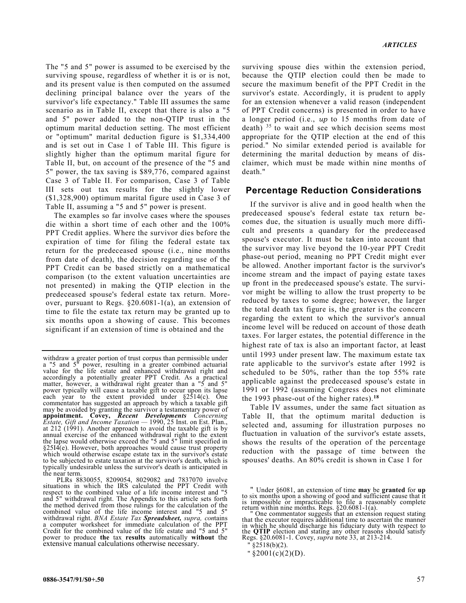The "5 and 5" power is assumed to be exercised by the surviving spouse, regardless of whether it is or is not, and its present value is then computed on the assumed declining principal balance over the years of the survivor's life expectancy." Table III assumes the same scenario as in Table II, except that there is also a "5 and 5" power added to the non-QTIP trust in the optimum marital deduction setting. The most efficient or "optimum" marital deduction figure is \$1,334,400 and is set out in Case 1 of Table III. This figure is slightly higher than the optimum marital figure for Table II, but, on account of the presence of the "5 and 5" power, the tax saving is \$89,776, compared against Case 3 of Table II. For comparison, Case 3 of Table III sets out tax results for the slightly lower (\$1,328,900) optimum marital figure used in Case 3 of Table II, assuming a "5 and 5" power is present.

The examples so far involve cases where the spouses die within a short time of each other and the 100% PPT Credit applies. Where the survivor dies before the expiration of time for filing the federal estate tax return for the predeceased spouse (i.e., nine months from date of death), the decision regarding use of the PPT Credit can be based strictly on a mathematical comparison (to the extent valuation uncertainties are not presented) in making the QTIP election in the predeceased spouse's federal estate tax return. Moreover, pursuant to Regs. §20.6081-1(a), an extension of time to file the estate tax return may be granted up to six months upon a showing of cause. This becomes significant if an extension of time is obtained and the

surviving spouse dies within the extension period, because the QTIP election could then be made to secure the maximum benefit of the PPT Credit in the survivor's estate. Accordingly, it is prudent to apply for an extension whenever a valid reason (independent of PPT Credit concerns) is presented in order to have a longer period (i.e., *up* to 15 months from date of  $death$ <sup>35</sup> to wait and see which decision seems most appropriate for the QTIP election at the end of this period." No similar extended period is available for determining the marital deduction by means of disclaimer, which must be made within nine months of death."

#### **Percentage Reduction Considerations**

If the survivor is alive and in good health when the predeceased spouse's federal estate tax return becomes due, the situation is usually much more difficult and presents a quandary for the predeceased spouse's executor. It must be taken into account that the survivor may live beyond the 10-year PPT Credit phase-out period, meaning no PPT Credit might ever be allowed. Another important factor is the survivor's income stream and the impact of paying estate taxes up front in the predeceased spouse's estate. The survivor might be willing to allow the trust property to be reduced by taxes to some degree; however, the larger the total death tax figure is, the greater is the concern regarding the extent to which the survivor's annual income level will be reduced on account of those death taxes. For larger estates, the potential difference in the highest rate of tax is also an important factor, at least until 1993 under present law. The maximum estate tax rate applicable to the survivor's estate after 1992 is scheduled to be 50%, rather than the top 55% rate applicable against the predeceased spouse's estate in 1991 or 1992 (assuming Congress does not eliminate the 1993 phase-out of the higher rates).**<sup>18</sup>**

Table IV assumes, under the same fact situation as Table II, that the optimum marital deduction is selected and, assuming for illustration purposes no fluctuation in valuation of the survivor's estate assets, shows the results of the operation of the percentage reduction with the passage of time between the spouses' deaths. An 80% credit is shown in Case 1 for

withdraw a greater portion of trust corpus than permissible under a "5 and 5" power, resulting in a greater combined actuarial value for the life estate and enhanced withdrawal right and accordingly a potentially greater PPT Credit. As a practical matter, however, a withdrawal right greater than a "5 and 5" power typically will cause a taxable gift to occur upon its lapse each year to the extent provided under §2514(c). One commentator has suggested an approach by which a taxable gift may be avoided by granting the survivor a testamentary power of **appointment. Covey,** *Recent Developments Concerning Estate, Gift and Income Taxation —* 1990, 25 Inst. on Est. Plan., at 212 (1991). Another approach to avoid the taxable gift is by annual exercise of the enhanced withdrawal right to the extent the lapse would otherwise exceed the "5 and 5" limit specified in  $\S25I4(e)$ . However, both approaches would cause trust property which would otherwise escape estate tax in the survivor's estate to be subjected to estate taxation at the survivor's death, which is typically undesirable unless the survivor's death is anticipated in the near term.

PLRs 8830055, 8209054, 8029082 and 7837070 involve situations in which the IRS calculated the PPT Credit with respect to the combined value of a life income interest and "5 and 5" withdrawal right. The Appendix to this article sets forth the method derived from those rulings for the calculation of the combined value of the life income interest and "5 and 5" withdrawal right. *BNA Estate Tax Spreadsheet, supra, con*tains a computer worksheet for immediate calculation of the PPT Credit for the combined value of the life estate and "5 and 5" power to produce **the** tax **results** automatically **without** the extensive manual calculations otherwise necessary.

<sup>&</sup>quot; Under §6081, an extension of time **may** be **granted** for **up** to six months upon a showing of good and sufficient cause that it is impossible or impracticable to file a reasonably complete return within nine months. Regs.  $\S 20.6081 - 1$ (a).

<sup>&</sup>quot; One commentator suggests that an extension request stating that the executor requires additional time to ascertain the manner in which he should discharge his fiduciary duty with respect to the **QTIP** election and stating any other reasons should satisfy Regs. §20.6081-1. Covey, *supra* note 33, at 213-214.

<sup>&</sup>quot; §2518(b)(2).

<sup>&</sup>quot;  $§2001(c)(2)(D)$ .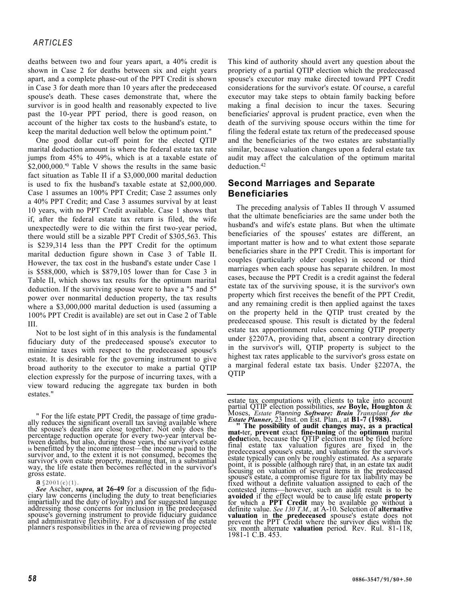deaths between two and four years apart, a 40% credit is shown in Case 2 for deaths between six and eight years apart, and a complete phase-out of the PPT Credit is shown in Case 3 for death more than 10 years after the predeceased spouse's death. These cases demonstrate that, where the survivor is in good health and reasonably expected to live past the 10-year PPT period, there is good reason, on account of the higher tax costs to the husband's estate, to keep the marital deduction well below the optimum point."

One good dollar cut-off point for the elected QTIP marital deduction amount is where the federal estate tax rate jumps from 45% to 49%, which is at a taxable estate of \$2,000,000.<sup>'0</sup> Table V shows the results in the same basic fact situation as Table II if a \$3,000,000 marital deduction is used to fix the husband's taxable estate at \$2,000,000. Case 1 assumes an 100% PPT Credit; Case 2 assumes only a 40% PPT Credit; and Case 3 assumes survival by at least 10 years, with no PPT Credit available. Case 1 shows that if, after the federal estate tax return is filed, the wife unexpectedly were to die within the first two-year period, there would still be a sizable PPT Credit of \$305,563. This is \$239,314 less than the PPT Credit for the optimum marital deduction figure shown in Case 3 of Table II. However, the tax cost in the husband's estate under Case 1 is \$588,000, which is \$879,105 lower than for Case 3 in Table II, which shows tax results for the optimum marital deduction. If the surviving spouse were to have a "5 and 5" power over nonmarital deduction property, the tax results where a \$3,000,000 marital deduction is used (assuming a 100% PPT Credit is available) are set out in Case 2 of Table III.

Not to be lost sight of in this analysis is the fundamental fiduciary duty of the predeceased spouse's executor to minimize taxes with respect to the predeceased spouse's estate. It is desirable for the governing instrument to give broad authority to the executor to make a partial QTIP election expressly for the purpose of incurring taxes, with a view toward reducing the aggregate tax burden in both estates."

" For the life estate PPT Credit, the passage of time gradu- ally reduces the significant overall tax saving available where the spouse's deaths are close together. Not only does the percentage reduction operate for every two-year interval between deaths, but also, during those years, the survivor's estate is benefitted by the income interest—the income is paid to the survivor and, to the extent it is not consumed, becomes the survivor's own estate property, meaning that, in a substantial way, the life estate then becomes reflected in the survivor's gross estate.

**a**  $$2001(c)(1)$ .

*See* Ascher, *supra,* **at 26-49** for a discussion of the fiduciary law concerns (including the duty to treat beneficiaries impartially and the duty of loyalty) and for suggested language addressing those concerns for inclusion in the predeceased spouse's governing instrument to provide fiduciary guidance and administrative flexibility. For a discussion of the estate planner' s responsibilities in the area of reviewing projected

This kind of authority should avert any question about the propriety of a partial QTIP election which the predeceased spouse's executor may make directed toward PPT Credit considerations for the survivor's estate. Of course, a careful executor may take steps to obtain family backing before making a final decision to incur the taxes. Securing beneficiaries' approval is prudent practice, even when the death of the surviving spouse occurs within the time for filing the federal estate tax return of the predeceased spouse and the beneficiaries of the two estates are substantially similar, because valuation changes upon a federal estate tax audit may affect the calculation of the optimum marital deduction.42

## **Second Marriages and Separate Beneficiaries**

The preceding analysis of Tables II through V assumed that the ultimate beneficiaries are the same under both the husband's and wife's estate plans. But when the ultimate beneficiaries of the spouses' estates are different, an important matter is how and to what extent those separate beneficiaries share in the PPT Credit. This is important for couples (particularly older couples) in second or third marriages when each spouse has separate children. In most cases, because the PPT Credit is a credit against the federal estate tax of the surviving spouse, it is the survivor's own property which first receives the benefit of the PPT Credit, and any remaining credit is then applied against the taxes on the property held in the QTIP trust created by the predeceased spouse. This result is dictated by the federal estate tax apportionment rules concerning QTIP property under §2207A, providing that, absent a contrary direction in the survivor's will, QTIP property is subject to the highest tax rates applicable to the survivor's gross estate on a marginal federal estate tax basis. Under §2207A, the QTIP

estate tax computations with clients to take into account partial QTIP election possibilities, *see* **Boyle, Houghton** & Moses, *Estate Planning Software: Brain Transplant for the* 

**Estimate Planner, Planner Planner, Planner B1-7 (1988). The possibility of audit changes may, as a practical mat-ter, prevent exact fine-tuning of the <b>optimum** marital **deduc**tion, because the QTIP election must be filed before final estate tax valuation figures are fixed in the predeceased spouse's estate, and valuations for the survivor's estate typically can only be roughly estimated. As a separate point, it is possible (although rare) that, in an estate tax audit focusing on valuation of several items in the predeceased spouse's estate, a compromise figure for tax liability may be fixed without a definite valuation assigned to each of the contested items—however, such an audit result is to be **avoided** if the effect would be to cause life estate **property** for which a **PPT Credit** may be available go without a definite value. *See 130 T.M.,* at A-10. Selection of **alternative valuation** in **the predeceased** spouse's estate does not prevent the PPT Credit where the survivor dies within the six month alternate **valuation** period. Rev. Rul. 81-118, 1981-1 C.B. 453.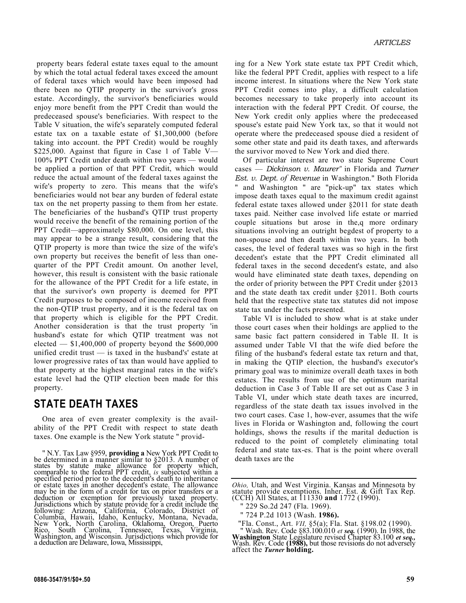property bears federal estate taxes equal to the amount by which the total actual federal taxes exceed the amount of federal taxes which would have been imposed had there been no QTIP property in the survivor's gross estate. Accordingly, the survivor's beneficiaries would enjoy more benefit from the PPT Credit than would the predeceased spouse's beneficiaries. With respect to the Table V situation, the wife's separately computed federal estate tax on a taxable estate of \$1,300,000 (before taking into account. the PPT Credit) would be roughly \$225,000. Against that figure in Case 1 of Table V-100% PPT Credit under death within two years — would be applied a portion of that PPT Credit, which would reduce the actual amount of the federal taxes against the wife's property to zero. This means that the wife's beneficiaries would not bear any burden of federal estate tax on the net property passing to them from her estate. The beneficiaries of the husband's QTIP trust property would receive the benefit of the remaining portion of the PPT Credit—approximately \$80,000. On one level, this may appear to be a strange result, considering that the QTIP property is more than twice the size of the wife's own property but receives the benefit of less than onequarter of the PPT Credit amount. On another level, however, this result is consistent with the basic rationale for the allowance of the PPT Credit for a life estate, in that the survivor's own property is deemed for PPT Credit purposes to be composed of income received from the non-QTIP trust property, and it is the federal tax on that property which is eligible for the PPT Credit. Another consideration is that the trust property 'in husband's estate for which QTIP treatment was not elected  $-$  \$1,400,000 of property beyond the \$600,000 unified credit trust — is taxed in the husband's' estate at lower progressive rates of tax than would have applied to that property at the highest marginal rates in the wife's estate level had the QTIP election been made for this property.

# **STATE DEATH TAXES**

One area of even greater complexity is the availability of the PPT Credit with respect to state death taxes. One example is the New York statute " providing for a New York state estate tax PPT Credit which, like the federal PPT Credit, applies with respect to a life income interest. In situations where the New York state PPT Credit comes into play, a difficult calculation becomes necessary to take properly into account its interaction with the federal PPT Credit. Of course, the New York credit only applies where the predeceased spouse's estate paid New York tax, so that it would not operate where the predeceased spouse died a resident of some other state and paid its death taxes, and afterwards the survivor moved to New York and died there.

Of particular interest are two state Supreme Court cases — *Dickinson v. Maurer"* in Florida and *Turner Est. v. Dept. of Revenue* in Washington." Both Florida " and Washington " are "pick-up" tax states which impose death taxes equal to the maximum credit against federal estate taxes allowed under §2011 for state death taxes paid. Neither case involved life estate or married couple situations but arose in the,q more ordinary situations involving an outright begdest of property to a non-spouse and then death within two years. In both cases, the level of federal taxes was so high in the first decedent's estate that the PPT Credit eliminated all federal taxes in the second decedent's estate, and also would have eliminated state death taxes, depending on the order of priority between the PPT Credit under §2013 and the state death tax credit under §2011. Both courts held that the respective state tax statutes did not impose state tax under the facts presented.

Table VI is included to show what is at stake under those court cases when their holdings are applied to the same basic fact pattern considered in Table II. It is assumed under Table VI that the wife died before the filing of the husband's federal estate tax return and that, in making the QTIP election, the husband's executor's primary goal was to minimize overall death taxes in both estates. The results from use of the optimum marital deduction in Case 3 of Table II are set out as Case 3 in Table VI, under which state death taxes are incurred, regardless of the state death tax issues involved in the two court cases. Case 1, how-ever, assumes that the wife lives in Florida or Washington and, following the court holdings, shows the results if the marital deduction is reduced to the point of completely eliminating total federal and state tax-es. That is the point where overall death taxes are the

<sup>&</sup>quot; N.Y. Tax Law §959, **providing a** New York PPT Credit to be determined in a manner similar to §2013. A number of states by statute make allowance for property which, comparable to the federal PPT credit, is subjected within a specified period prior to the decedent's death to inheritance or estate taxes in another decedent's estate. The allowance may be in the form of a credit for tax on prior transfers or a deduction or exemption for previously taxed property. Jurisdictions which by statute provide for a credit include the following: Arizona, California, Colorado, District of Columbia, Hawaii, Idaho, Kentucky, Montana, Nevada, New York, North Carolina, Oklahoma, Oregon, Puerto Rico, South Carolina, Tennessee, Texas, Virginia, Washington, and Wisconsin. Jurisdictions which provide for a deduction are Delaware, Iowa, Mississippi,

*Ohio,* Utah, and West Virginia. Kansas and Minnesota by statute provide exemptions. Inher. Est. & Gift Tax Rep. (CCH) All States, at 111330 **and** 1772 (1990).

<sup>&</sup>quot; 229 So.2d 247 (Fla. 1969).

<sup>&</sup>quot; 724 P.2d 1013 (Wash. **1986).** 

<sup>&</sup>quot;Fla. Const., Art. VII, §5(a); Fla. Stat. §198.02 (1990).<br>"Wash. Rev. Code §83.100.010 *et seq.* (1990). In 1988, the **Washington** State Legislature revised Chapter 83.100 *et seq.*, Wash. Rev. Code (1988), but those revis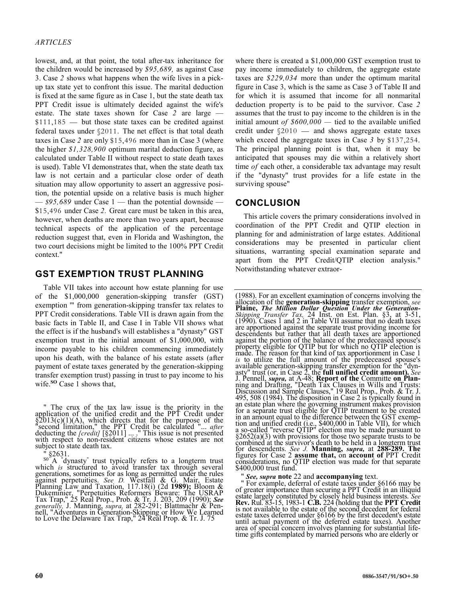lowest, and, at that point, the total after-tax inheritance for the children would be increased by *\$95,689,* as against Case 3. Case *2* shows what happens when the wife lives in a pickup tax state yet to confront this issue. The marital deduction is fixed at the same figure as in Case 1, but the state death tax PPT Credit issue is ultimately decided against the wife's estate. The state taxes shown for Case *2* are large — \$111,185 — but those state taxes can be credited against federal taxes under §2011. The net effect is that total death taxes in Case *2* are only \$15,496 more than in Case 3 (where the higher *\$1,328,900* optimum marital deduction figure, as calculated under Table II without respect to state death taxes is used). Table VI demonstrates that, when the state death tax law is not certain and a particular close order of death situation may allow opportunity to assert an aggressive position, the potential upside on a relative basis is much higher — *\$95,689* under Case 1 — than the potential downside — \$15,496 under Case *2.* Great care must be taken in this area, however, when deaths are more than two years apart, because technical aspects of the application of the percentage reduction suggest that, even in Florida and Washington, the two court decisions might be limited to the 100% PPT Credit context."

#### **GST EXEMPTION TRUST PLANNING**

Table VII takes into account how estate planning for use of the \$1,000,000 generation-skipping transfer (GST) exemption '" from generation-skipping transfer tax relates to PPT Credit considerations. Table VII is drawn again from the basic facts in Table II, and Case I in Table VII shows what the effect is if the husband's will establishes a "dynasty" GST exemption trust in the initial amount of \$1,000,000, with income payable to his children commencing immediately upon his death, with the balance of his estate assets (after payment of estate taxes generated by the generation-skipping transfer exemption trust) passing in trust to pay income to his wife.<sup>SO</sup> Case 1 shows that,

" The crux of the tax law issue is the priority in the application of the unified credit and the PPT Credit under  $\S2013(c)(1)(A)$ , which directs that for the purpose of the "second limitation," the PPT Credit be calculated "... *after* deducting the *[credit]* [§2011] ... ." This issue is not presented with respect to non-resident citizens whose estates are not subject to state death tax.

" §2631.

 $\rm{S0}^{\circ}A$  " <sup>80</sup><sup>o</sup>A dynasty" trust typically refers to a longterm trust which *is* structured to avoid transfer tax through several generations, sometimes for as long as permitted under the rules against perpetuities. *See D.* Westfall & G. Mair, Estate Planning Law and Taxation, 117.18(i) (2d **1989);** Bloom & Dukeminier, "Perpetuities Reformers Beware: The USRAP Tax Trap," 25 Real Prop., Prob. & Tr. J. 203, 209 (1990); *See generally,* J. Manning, *supra,* at 282-291; Blattmachr & Pen- nell, "Adventures in Generation-Skipping or How We Learned to Love the Delaware Tax Trap," 24 Real Prop. & Tr. J. 75

where there is created a \$1,000,000 GST exemption trust to pay income immediately to children, the aggregate estate taxes are *\$229,034* more than under the optimum marital figure in Case 3, which is the same as Case 3 of Table II and for which it is assumed that income for all nonmarital deduction property is to be paid to the survivor. Case *2*  assumes that the trust to pay income to the children is in the initial amount *of \$600,000 —* tied to the available unified credit under  $\&010$  — and shows aggregate estate taxes which exceed the aggregate taxes in Case *3* by \$137,254. The principal planning point is that, when it may be anticipated that spouses may die within a relatively short time *of* each other, a considerable tax advantage may result if the "dynasty" trust provides for a life estate in the surviving spouse"

#### **CONCLUSION**

This article covers the primary considerations involved in coordination of the PPT Credit and QTIP election in planning for and administration of large estates. Additional considerations may be presented in particular client situations, warranting special examination separate and apart from the PPT Credit/QTIP election analysis." Notwithstanding whatever extraor-

(1988). For an excellent examination of concerns involving the allocation of the **generation-skipping** transfer exemption, *see* **Plaine,** *The Million Dollar Question Under the Generation-Skipping Transfer Tax,* 24 Inst. on Est. Plan. §3, at 3-51, (1990). Cases 1 and 2 in Table VII assume that no death taxes are apportioned against the separate trust providing income for descendents but rather that all death taxes are apportioned against the portion of the balance of the predeceased spouse's property eligible for QTIP but for which no QTIP election is made. The reason for that kind of tax apportionment in Case 1 *is* to utilize the full amount of the predeceased spouse's available generation-skipping transfer exemption for the "dynasty" trust (or, in Case 2, the **full unified credit amount).** *See*  J. Pennell, *supra,* at A-48; **Report of the** Committe **on Plan**ning and Drafting, "Death Tax Clauses in Wills and Trusts: Discussion and Sample Clauses," 19 Real Prop., Prob. & Tr. J. 495, 508 (1984). The disposition in Case 2 is typically found in an estate plan where the governing instrument makes provision for a separate trust eligible for QTIP treatment to be created in an amount equal to the difference between the GST exemption and unified credit (i.e., \$400,000 in Table VII), for which a so-called "reverse QTIP" election may be made pursuant to  $\S 2652(a)(3)$  with provisions for those two separate trusts to be combined at the survivor's death to be held in a longterm trust for descendents. *See J.* **Manning,** *supra,* at **288-289. The**  figures for Case 2 **assume that,** on **account of** PPT Credit considerations, no QTIP election was made for that separate \$400,000 trust fund.

" *See, supra* **note** 22 and **accompanying** text.

" For example, deferral of estate taxes under §6166 may be of greater importance than securing a PPT Credit in an illiquid estate largely constituted by closely held business interests. *See*  **Rev.** Rul. 83-15, 1983-1 **C.B.** 224 (holding that the **PPT Credit**  is not available to the estate of the second decedent for federal estate taxes deferred under §6166 by the first decedent's estate until actual payment of the deferred estate taxes). Another area of special concern involves planning for substantial lifetime gifts contemplated by married persons who are elderly or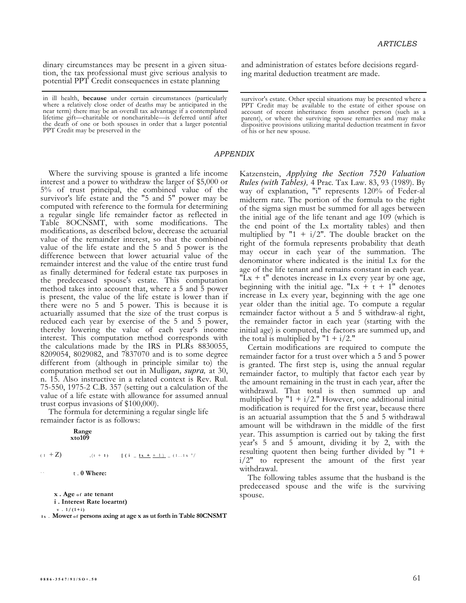dinary circumstances may be present in a given situation, the tax professional must give serious analysis to potential PPT Credit consequences in estate planning

in ill health, **because** under certain circumstances (particularly where a relatively close order of deaths may be anticipated in the near term) there may be an overall tax advantage if a contemplated lifetime gift—charitable or noncharitable—is deferred until after the death of one or both spouses in order that a larger potential PPT Credit may be preserved in the

and administration of estates before decisions regarding marital deduction treatment are made.

survivor's estate. Other special situations may be presented where a PPT Credit may be available to the estate of either spouse on account of recent inheritance from another person (such as a parent), or where the surviving spouse remarries and may make dispositive provisions utilizing marital deduction treatment in favor of his or her new spouse.

#### *APPENDIX*

Where the surviving spouse is granted a life income interest and a power to withdraw the larger of \$5,000 or 5% of trust principal, the combined value of the survivor's life estate and the "5 and 5" power may be computed with reference to the formula for determining a regular single life remainder factor as reflected in Table 8OCNSMT, with some modifications. The modifications, as described below, decrease the actuarial value of the remainder interest, so that the combined value of the life estate and the 5 and 5 power is the difference between that lower actuarial value of the remainder interest and the value of the entire trust fund as finally determined for federal estate tax purposes in the predeceased spouse's estate. This computation method takes into account that, where a 5 and 5 power is present, the value of the life estate is lower than if there were no 5 and 5 power. This is because it is actuarially assumed that the size of the trust corpus is reduced each year by exercise of the 5 and 5 power, thereby lowering the value of each year's income interest. This computation method corresponds with the calculations made by the IRS in PLRs 8830055, 8209054, 8029082, and 7837070 and is to some degree different from (although in principle similar to) the computation method set out in Mulli*gan, supra,* at 30, n. 15. Also instructive in a related context is Rev. Rul. 75-550, 1975-2 C.B. 357 (setting out a calculation of the value of a life estate with allowance for assumed annual trust corpus invasions of \$100,000).

The formula for determining a regular single life remainder factor is as follows:

> **Range xto109**

$$
(1 + Z) \qquad \qquad , (t + 1) \qquad [ (i = \underline{I x + + 1}) = (1..1x^{-1})
$$

`` t . **0 Where:** 

**x . Age of ate tenant** 

**i . Interest Rate loeartnt)** 

**v . 1/(1+i)** 

**Ix . Mower of persons axing at age x as ut forth in Table 80CNSMT** 

Katzenstein, *Applying the Section 7520 Valuation Rules (with Tables),* 4 Prac. Tax Law. 83, 93 (1989). By way of explanation, "i" represents 120% of Feder-al midterm rate. The portion of the formula to the right of the sigma sign must be summed for all ages between the initial age of the life tenant and age 109 (which is the end point of the Lx mortality tables) and then multiplied by " $1 + i/2$ ". The double bracket on the right of the formula represents probability that death may occur in each year of the summation. The denominator where indicated is the initial Lx for the age of the life tenant and remains constant in each year. " $Lx + t$ " denotes increase in Lx every year by one age, beginning with the initial age. "Lx + t + 1" denotes increase in Lx every year, beginning with the age one year older than the initial age. To compute a regular remainder factor without a 5 and 5 withdraw-al right, the remainder factor in each year (starting with the initial age) is computed, the factors are summed up, and the total is multiplied by " $1 + i/2$ ."

Certain modifications are required to compute the remainder factor for a trust over which a 5 and 5 power is granted. The first step is, using the annual regular remainder factor, to multiply that factor each year by the amount remaining in the trust in each year, after the withdrawal. That total is then summed up and multiplied by " $1 + i/2$ ." However, one additional initial modification is required for the first year, because there is an actuarial assumption that the 5 and 5 withdrawal amount will be withdrawn in the middle of the first year. This assumption is carried out by taking the first year's 5 and 5 amount, dividing it by 2, with the resulting quotent then being further divided by "1 + i/2" to represent the amount of the first year withdrawal.

The following tables assume that the husband is the predeceased spouse and the wife is the surviving spouse.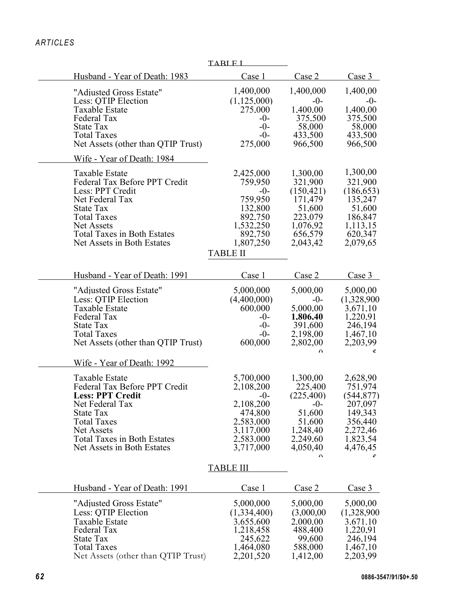|                                                                                                                                                                                                                    | $\pm$ ABLE                                                                                                           |                                                                                                      |                                                                                                        |
|--------------------------------------------------------------------------------------------------------------------------------------------------------------------------------------------------------------------|----------------------------------------------------------------------------------------------------------------------|------------------------------------------------------------------------------------------------------|--------------------------------------------------------------------------------------------------------|
| Husband - Year of Death: 1983                                                                                                                                                                                      | Case 1                                                                                                               | Case 2                                                                                               | Case 3                                                                                                 |
| "Adjusted Gross Estate"<br>Less: OTIP Election<br>Taxable Estate<br>Federal Tax<br>State Tax<br><b>Total Taxes</b><br>Net Assets (other than QTIP Trust)                                                           | 1,400,000<br>(1,125,000)<br>275.000<br>$-()$<br>$-0-$<br>$-0-$<br>275,000                                            | 1,400,000<br>$-0-$<br>1.400.00<br>375,500<br>58,000<br>433,500<br>966,500                            | 1,400,00<br>-0-<br>1.400.00<br>375,500<br>58,000<br>433,500<br>966,500                                 |
| Wife - Year of Death: 1984                                                                                                                                                                                         |                                                                                                                      |                                                                                                      |                                                                                                        |
| Taxable Estate<br>Federal Tax Before PPT Credit<br>Less: PPT Credit<br>Net Federal Tax<br>State Tax<br><b>Total Taxes</b><br>Net Assets<br><b>Total Taxes in Both Estates</b><br>Net Assets in Both Estates        | 2,425,000<br>759,950<br>-0-<br>759,950<br>132,800<br>892,750<br>1,532,250<br>892,750<br>1,807,250<br><b>TABLE II</b> | 1,300,00<br>321,900<br>(150, 421)<br>171,479<br>51,600<br>223,079<br>1,076,92<br>656,579<br>2,043,42 | 1,300,00<br>321,900<br>(186, 653)<br>135,247<br>51,600<br>186,847<br>1,113,15<br>620,347<br>2,079,65   |
| Husband - Year of Death: 1991                                                                                                                                                                                      | Case 1                                                                                                               | Case 2                                                                                               | Case 3                                                                                                 |
| "Adjusted Gross Estate"<br>Less: QTIP Election<br><b>Taxable Estate</b><br>Federal Tax<br>State Tax<br><b>Total Taxes</b><br>Net Assets (other than QTIP Trust)                                                    | 5,000,000<br>(4,400,000)<br>600.000<br>$-0-$<br>$-0-$<br>$-0-$<br>600,000                                            | 5,000,00<br>$-0-$<br>5.000.00<br>1,806,40<br>391,600<br>2,198,00<br>2,802,00<br>$\Omega$             | 5,000,00<br>(1,328,900)<br>3.671.10<br>1,220.91<br>246,194<br>1,467,10<br>2,203,99                     |
| Wife - Year of Death: 1992                                                                                                                                                                                         |                                                                                                                      |                                                                                                      |                                                                                                        |
| Taxable Estate<br>Federal Tax Before PPT Credit<br><b>Less: PPT Credit</b><br>Net Federal Tax<br>State Tax<br><b>Total Taxes</b><br>Net Assets<br><b>Total Taxes in Both Estates</b><br>Net Assets in Both Estates | 5,700,000<br>2,108,200<br>$-0-$<br>2,108,200<br>474,800<br>2.583,000<br>3,117,000<br>2,583,000<br>3,717,000          | 1,300,00<br>225,400<br>(225, 400)<br>$-0-$<br>51,600<br>51.600<br>1,248,40<br>2,249,60<br>4,050,40   | 2,628,90<br>751,974<br>(544, 877)<br>207,097<br>149,343<br>356,440<br>2,272,46<br>1,823,54<br>4,476,45 |
|                                                                                                                                                                                                                    | <b>TABLE III</b>                                                                                                     |                                                                                                      |                                                                                                        |
| Husband - Year of Death: 1991                                                                                                                                                                                      | Case 1                                                                                                               | Case 2                                                                                               | Case 3                                                                                                 |
| "Adjusted Gross Estate"<br>Less: QTIP Election<br><b>Taxable Estate</b><br>Federal Tax<br>State Tax<br><b>Total Taxes</b><br>Net Assets (other than QTIP Trust)                                                    | 5,000,000<br>(1,334,400)<br>3.655.600<br>1,218,458<br>245,622<br>1,464,080<br>2,201,520                              | 5,000,00<br>(3,000,00)<br>2.000.00<br>488,400<br>99,600<br>588,000<br>1,412,00                       | 5,000,00<br>(1,328,900)<br>3.671.10<br>1,220.91<br>246,194<br>1,467,10<br>2,203,99                     |

TABLE I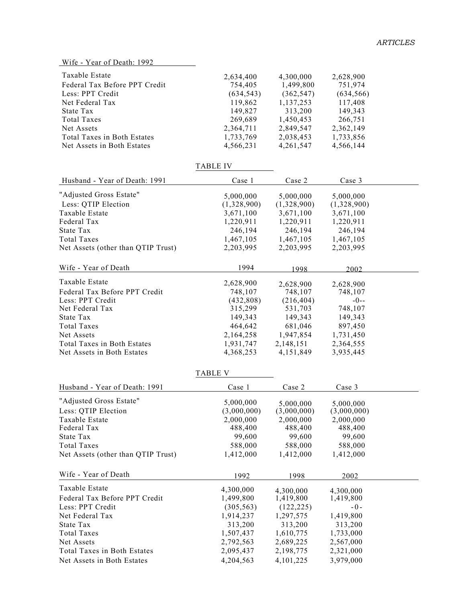| Taxable Estate                | 2,634,400  | 4,300,000  | 2,628,900  |
|-------------------------------|------------|------------|------------|
| Federal Tax Before PPT Credit | 754,405    | 1,499,800  | 751,974    |
| Less: PPT Credit              | (634, 543) | (362, 547) | (634, 566) |
| Net Federal Tax               | 119,862    | 1,137,253  | 117,408    |
| State Tax                     | 149,827    | 313,200    | 149,343    |
| <b>Total Taxes</b>            | 269,689    | 1,450,453  | 266,751    |
| Net Assets                    | 2,364,711  | 2,849,547  | 2,362,149  |
| Total Taxes in Both Estates   | 1,733,769  | 2,038,453  | 1,733,856  |
| Net Assets in Both Estates    | 4,566,231  | 4,261,547  | 4,566,144  |

Wife - Year of Death: 1992

## TABLE IV

| Husband - Year of Death: 1991      | Case 1                | Case 2                | Case 3           |  |
|------------------------------------|-----------------------|-----------------------|------------------|--|
| "Adjusted Gross Estate"            | 5,000,000             | 5,000,000             | 5,000,000        |  |
| Less: QTIP Election                | (1,328,900)           | (1,328,900)           | (1,328,900)      |  |
| Taxable Estate                     | 3,671,100             | 3,671,100             | 3,671,100        |  |
| Federal Tax                        | 1,220,911             | 1,220,911             | 1,220,911        |  |
| State Tax                          | 246,194               | 246,194               | 246,194          |  |
| <b>Total Taxes</b>                 | 1,467,105             | 1,467,105             | 1,467,105        |  |
| Net Assets (other than QTIP Trust) | 2,203,995             | 2,203,995             | 2,203,995        |  |
|                                    |                       |                       |                  |  |
| Wife - Year of Death               | 1994                  | 1998                  | 2002             |  |
| Taxable Estate                     |                       |                       |                  |  |
| Federal Tax Before PPT Credit      | 2,628,900             | 2,628,900             | 2,628,900        |  |
| Less: PPT Credit                   | 748,107<br>(432, 808) | 748,107<br>(216, 404) | 748,107<br>$-0-$ |  |
| Net Federal Tax                    | 315,299               | 531,703               | 748,107          |  |
| State Tax                          | 149,343               | 149,343               | 149,343          |  |
| <b>Total Taxes</b>                 | 464,642               | 681,046               | 897,450          |  |
| Net Assets                         | 2,164,258             | 1,947,854             | 1,731,450        |  |
| Total Taxes in Both Estates        | 1,931,747             | 2,148,151             | 2,364,555        |  |
| Net Assets in Both Estates         | 4,368,253             | 4,151,849             | 3,935,445        |  |
|                                    |                       |                       |                  |  |
|                                    |                       |                       |                  |  |
|                                    | <b>TABLE V</b>        |                       |                  |  |
| Husband - Year of Death: 1991      | Case 1                | Case 2                | Case 3           |  |
| "Adjusted Gross Estate"            | 5,000,000             | 5,000,000             | 5,000,000        |  |
| Less: QTIP Election                | (3,000,000)           | (3,000,000)           | (3,000,000)      |  |
| Taxable Estate                     | 2,000,000             | 2,000,000             | 2,000,000        |  |
| Federal Tax                        | 488,400               | 488,400               | 488,400          |  |
| State Tax                          | 99,600                | 99,600                | 99,600           |  |
| <b>Total Taxes</b>                 | 588,000               | 588,000               | 588,000          |  |
| Net Assets (other than QTIP Trust) | 1,412,000             | 1,412,000             | 1,412,000        |  |
|                                    |                       |                       |                  |  |
| Wife - Year of Death               | 1992                  | 1998                  | 2002             |  |
| Taxable Estate                     | 4,300,000             | 4,300,000             | 4,300,000        |  |
| Federal Tax Before PPT Credit      | 1,499,800             | 1,419,800             | 1,419,800        |  |
| Less: PPT Credit                   | (305, 563)            | (122, 225)            | $-0-$            |  |
| Net Federal Tax                    | 1,914,237             | 1,297,575             | 1,419,800        |  |
| State Tax                          | 313,200               | 313,200               | 313,200          |  |
| <b>Total Taxes</b>                 | 1,507,437             | 1,610,775             | 1,733,000        |  |
| Net Assets                         | 2,792,563             | 2,689,225             | 2,567,000        |  |
| Total Taxes in Both Estates        | 2,095,437             | 2,198,775             | 2,321,000        |  |
| Net Assets in Both Estates         | 4,204,563             | 4,101,225             | 3,979,000        |  |
|                                    |                       |                       |                  |  |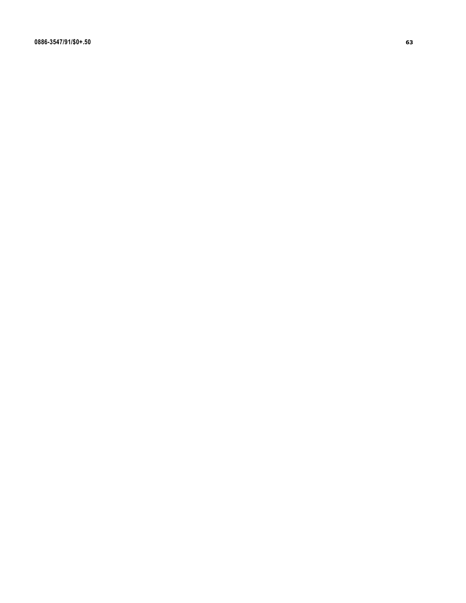**0886-3547/91/\$0+.50 63**